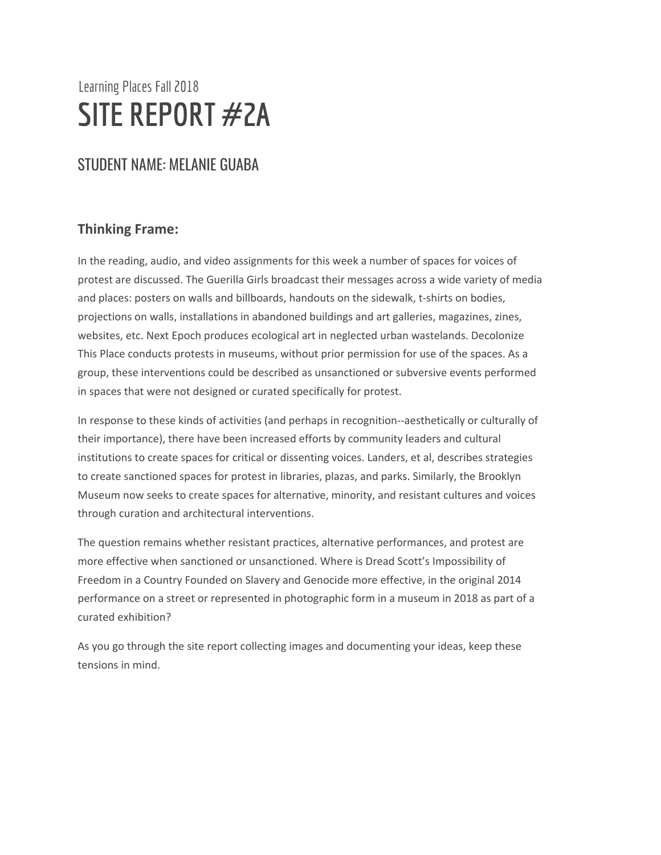# Learning Places Fall 2018 **SITE REPORT #2A**

# STUDENT NAME: MELANIE GUABA

### **Thinking Frame:**

In the reading, audio, and video assignments for this week a number of spaces for voices of protest are discussed. The Guerilla Girls broadcast their messages across a wide variety of media and places: posters on walls and billboards, handouts on the sidewalk, t-shirts on bodies, projections on walls, installations in abandoned buildings and art galleries, magazines, zines, websites, etc. Next Epoch produces ecological art in neglected urban wastelands. Decolonize This Place conducts protests in museums, without prior permission for use of the spaces. As a group, these interventions could be described as unsanctioned or subversive events performed in spaces that were not designed or curated specifically for protest.

In response to these kinds of activities (and perhaps in recognition--aesthetically or culturally of their importance), there have been increased efforts by community leaders and cultural institutions to create spaces for critical or dissenting voices. Landers, et al, describes strategies to create sanctioned spaces for protest in libraries, plazas, and parks. Similarly, the Brooklyn Museum now seeks to create spaces for alternative, minority, and resistant cultures and voices through curation and architectural interventions.

The question remains whether resistant practices, alternative performances, and protest are more effective when sanctioned or unsanctioned. Where is Dread Scott's Impossibility of Freedom in a Country Founded on Slavery and Genocide more effective, in the original 2014 performance on a street or represented in photographic form in a museum in 2018 as part of a curated exhibition?

As you go through the site report collecting images and documenting your ideas, keep these tensions in mind.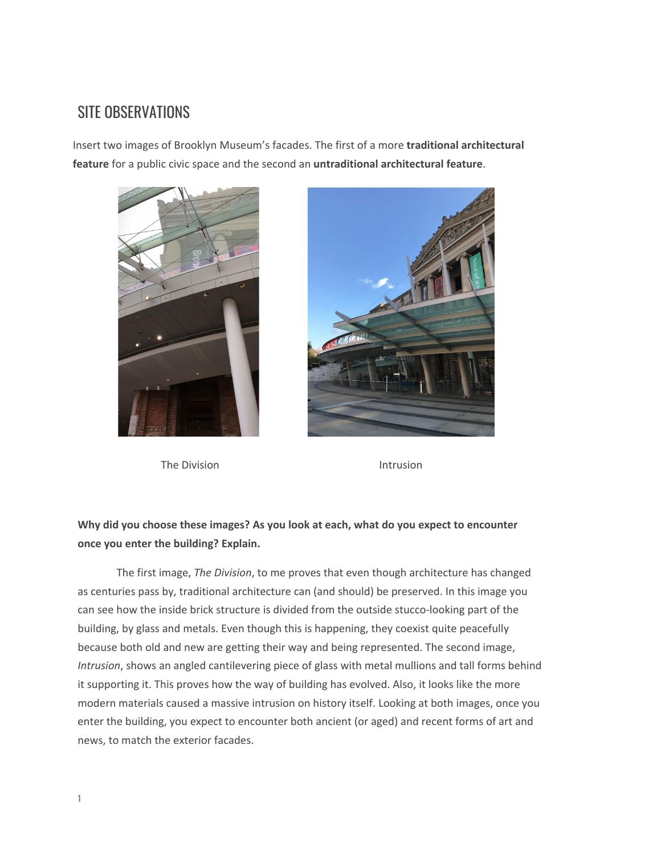## SITE OBSERVATIONS

Insert two images of Brooklyn Museum's facades. The first of a more **traditional architectural feature** for a public civic space and the second an **untraditional architectural feature**.



The Division **Intrusion** 



#### **Why did you choose these images? As you look at each, what do you expect to encounter once you enter the building? Explain.**

The first image, *The Division*, to me proves that even though architecture has changed as centuries pass by, traditional architecture can (and should) be preserved. In this image you can see how the inside brick structure is divided from the outside stucco-looking part of the building, by glass and metals. Even though this is happening, they coexist quite peacefully because both old and new are getting their way and being represented. The second image, *Intrusion*, shows an angled cantilevering piece of glass with metal mullions and tall forms behind it supporting it. This proves how the way of building has evolved. Also, it looks like the more modern materials caused a massive intrusion on history itself. Looking at both images, once you enter the building, you expect to encounter both ancient (or aged) and recent forms of art and news, to match the exterior facades.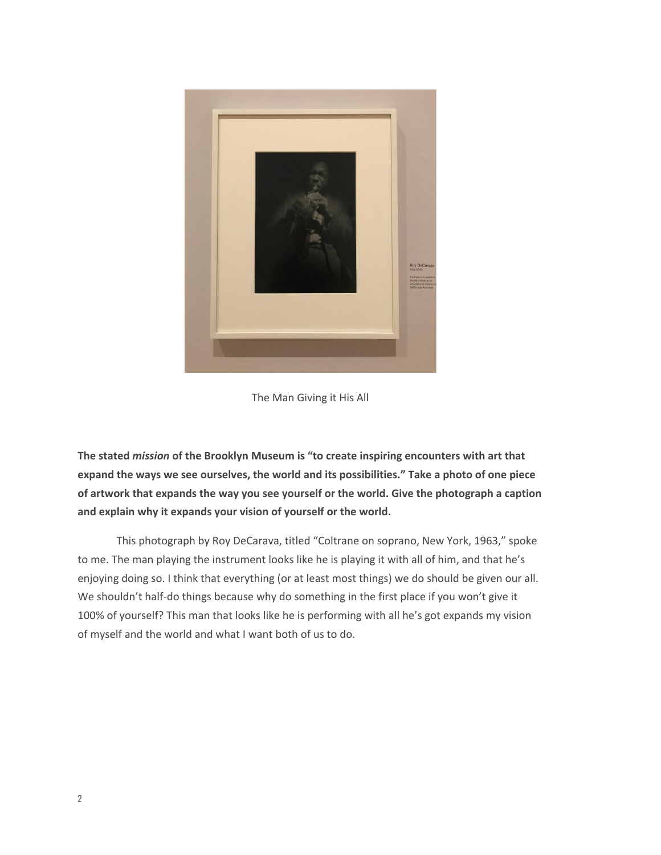

The Man Giving it His All

**The stated** *mission* **of the Brooklyn Museum is "to create inspiring encounters with art that expand the ways we see ourselves, the world and its possibilities." Take a photo of one piece of artwork that expands the way you see yourself or the world. Give the photograph a caption and explain why it expands your vision of yourself or the world.**

This photograph by Roy DeCarava, titled "Coltrane on soprano, New York, 1963," spoke to me. The man playing the instrument looks like he is playing it with all of him, and that he's enjoying doing so. I think that everything (or at least most things) we do should be given our all. We shouldn't half-do things because why do something in the first place if you won't give it 100% of yourself? This man that looks like he is performing with all he's got expands my vision of myself and the world and what I want both of us to do.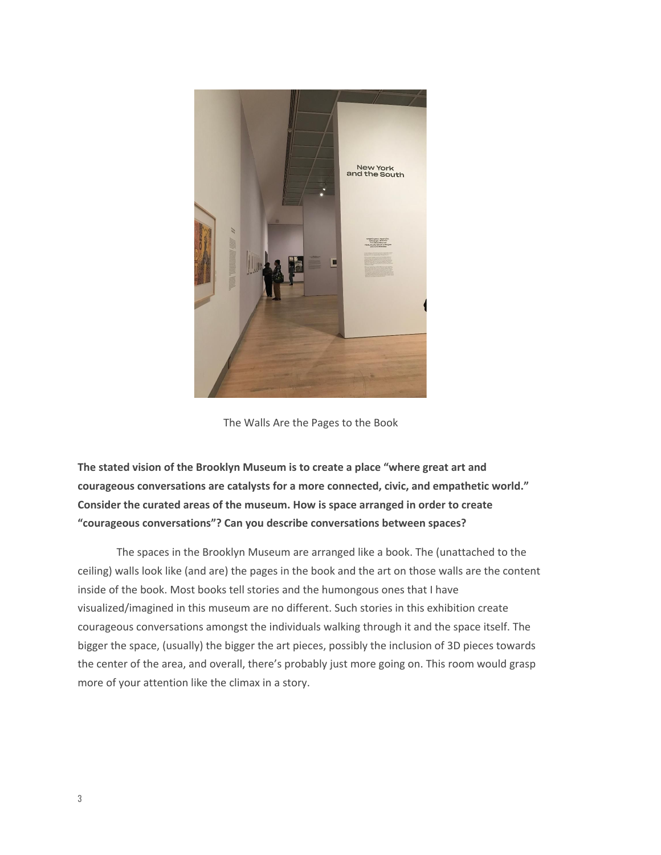

The Walls Are the Pages to the Book

**The stated vision of the Brooklyn Museum is to create a place "where great art and courageous conversations are catalysts for a more connected, civic, and empathetic world." Consider the curated areas of the museum. How is space arranged in order to create "courageous conversations"? Can you describe conversations between spaces?**

The spaces in the Brooklyn Museum are arranged like a book. The (unattached to the ceiling) walls look like (and are) the pages in the book and the art on those walls are the content inside of the book. Most books tell stories and the humongous ones that I have visualized/imagined in this museum are no different. Such stories in this exhibition create courageous conversations amongst the individuals walking through it and the space itself. The bigger the space, (usually) the bigger the art pieces, possibly the inclusion of 3D pieces towards the center of the area, and overall, there's probably just more going on. This room would grasp more of your attention like the climax in a story.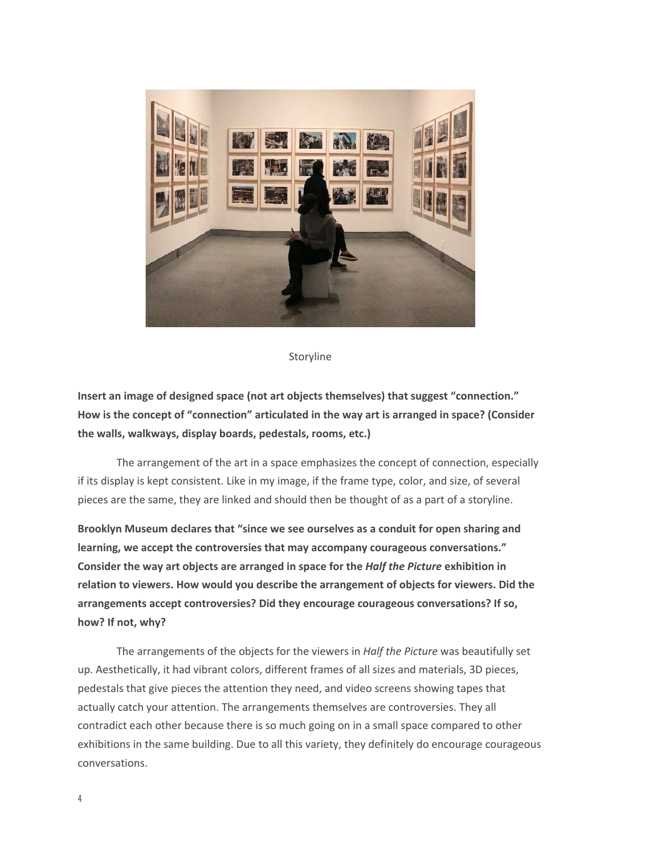

Storyline

**Insert an image of designed space (not art objects themselves) that suggest "connection." How is the concept of "connection" articulated in the way art is arranged in space? (Consider the walls, walkways, display boards, pedestals, rooms, etc.)**

The arrangement of the art in a space emphasizes the concept of connection, especially if its display is kept consistent. Like in my image, if the frame type, color, and size, of several pieces are the same, they are linked and should then be thought of as a part of a storyline.

**Brooklyn Museum declares that "since we see ourselves as a conduit for open sharing and learning, we accept the controversies that may accompany courageous conversations." Consider the way art objects are arranged in space for the** *Half the Picture* **exhibition in relation to viewers. How would you describe the arrangement of objects for viewers. Did the arrangements accept controversies? Did they encourage courageous conversations? If so, how? If not, why?**

The arrangements of the objects for the viewers in *Half the Picture* was beautifully set up. Aesthetically, it had vibrant colors, different frames of all sizes and materials, 3D pieces, pedestals that give pieces the attention they need, and video screens showing tapes that actually catch your attention. The arrangements themselves are controversies. They all contradict each other because there is so much going on in a small space compared to other exhibitions in the same building. Due to all this variety, they definitely do encourage courageous conversations.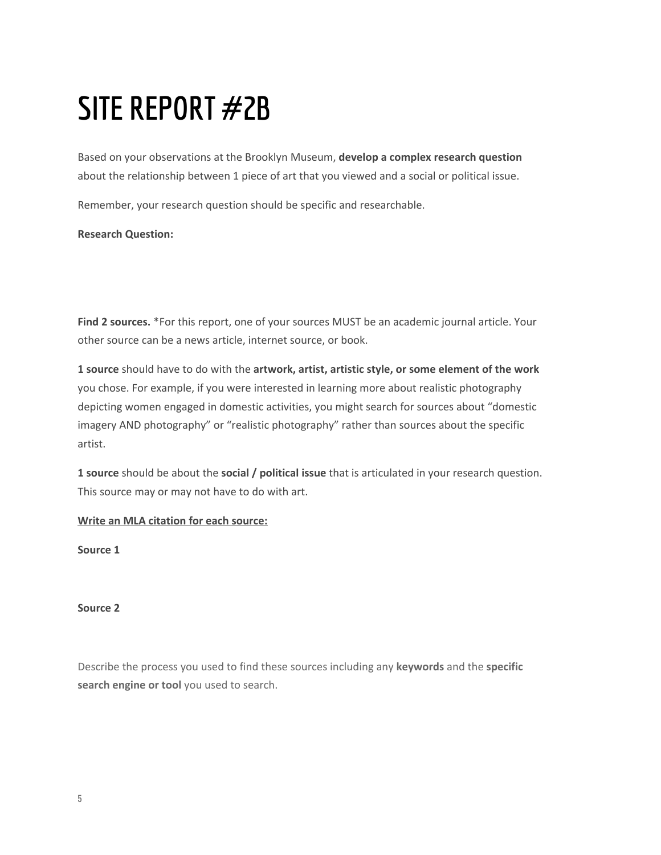# **SITE REPORT #2B**

Based on your observations at the Brooklyn Museum, **develop a complex research question** about the relationship between 1 piece of art that you viewed and a social or political issue.

Remember, your research question should be specific and researchable.

**Research Question:**

**Find 2 sources.** \*For this report, one of your sources MUST be an academic journal article. Your other source can be a news article, internet source, or book.

**1 source** should have to do with the **artwork, artist, artistic style, or some element of the work** you chose. For example, if you were interested in learning more about realistic photography depicting women engaged in domestic activities, you might search for sources about "domestic imagery AND photography" or "realistic photography" rather than sources about the specific artist.

**1 source** should be about the **social / political issue** that is articulated in your research question. This source may or may not have to do with art.

**Write an MLA citation for each source:**

**Source 1**

**Source 2**

Describe the process you used to find these sources including any **keywords** and the **specific search engine or tool** you used to search.